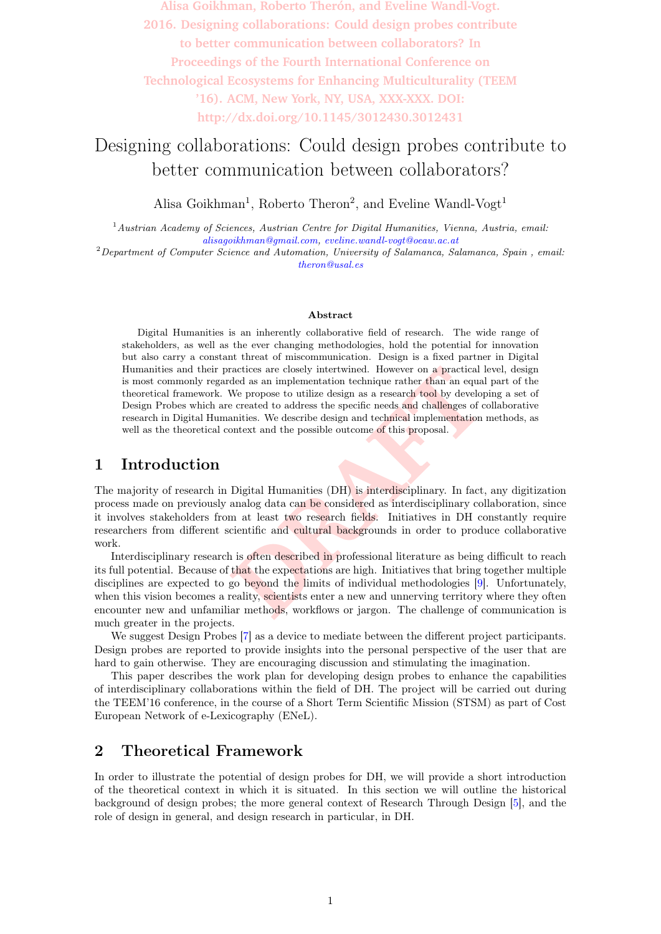**Alisa Goikhman, Roberto Therón, and Eveline Wandl-Vogt. 2016. Designing collaborations: Could design probes contribute to better communication between collaborators? In Proceedings of the Fourth International Conference on Technological Ecosystems for Enhancing Multiculturality (TEEM '16). ACM, New York, NY, USA, XXX-XXX. DOI: http://dx.doi.org/10.1145/3012430.3012431**

# Designing collaborations: Could design probes contribute to better communication between collaborators?

Alisa Goikhman<sup>1</sup>, Roberto Theron<sup>2</sup>, and Eveline Wandl-Vogt<sup>1</sup>

 $1$ Austrian Academy of Sciences, Austrian Centre for Digital Humanities, Vienna, Austria, email: [alisagoikhman@gmail.com](mailto:alisagoikhman@gmail.com) , [eveline.wandl-vogt@oeaw.ac.at](mailto:eveline.wandl-vogt@oeaw.ac.at)

<sup>2</sup> Department of Computer Science and Automation, University of Salamanca, Salamanca, Spain, email: [theron@usal.es](mailto:theron@usal.es)

#### Abstract

ractices are closely intertwined. However on a practical<br>ded as an implementation technique rather than an equa<br>We propose to utilize design as a research tool by develop<br>e created to address the specific needs and challen Digital Humanities is an inherently collaborative field of research. The wide range of stakeholders, as well as the ever changing methodologies, hold the potential for innovation but also carry a constant threat of miscommunication. Design is a fixed partner in Digital Humanities and their practices are closely intertwined. However on a practical level, design is most commonly regarded as an implementation technique rather than an equal part of the theoretical framework. We propose to utilize design as a research tool by developing a set of Design Probes which are created to address the specific needs and challenges of collaborative research in Digital Humanities. We describe design and technical implementation methods, as well as the theoretical context and the possible outcome of this proposal.

## 1 Introduction

The majority of research in Digital Humanities (DH) is interdisciplinary. In fact, any digitization process made on previously analog data can be considered as interdisciplinary collaboration, since it involves stakeholders from at least two research fields. Initiatives in DH constantly require researchers from different scientific and cultural backgrounds in order to produce collaborative work.

Interdisciplinary research is often described in professional literature as being difficult to reach its full potential. Because of that the expectations are high. Initiatives that bring together multiple disciplines are expected to go beyond the limits of individual methodologies [ 9]. Unfortunately, when this vision becomes a reality, scientists enter a new and unnerving territory where they often encounter new and unfamiliar methods, workflows or jargon. The challenge of communication is much greater in the projects.

We suggest Design Probes [ [7\]](#page-6-1) as a device to mediate between the different project participants. Design probes are reported to provide insights into the personal perspective of the user that are hard to gain otherwise. They are encouraging discussion and stimulating the imagination.

This paper describes the work plan for developing design probes to enhance the capabilities of interdisciplinary collaborations within the field of DH. The project will be carried out during the TEEM'16 conference, in the course of a Short Term Scientific Mission (STSM) as part of Cost European Network of e-Lexicography (ENeL).

### 2 Theoretical Framework

In order to illustrate the potential of design probes for DH, we will provide a short introduction of the theoretical context in which it is situated. In this section we will outline the historical background of design probes; the more general context of Research Through Design [ [5\]](#page-6-2), and the role of design in general, and design research in particular, in DH.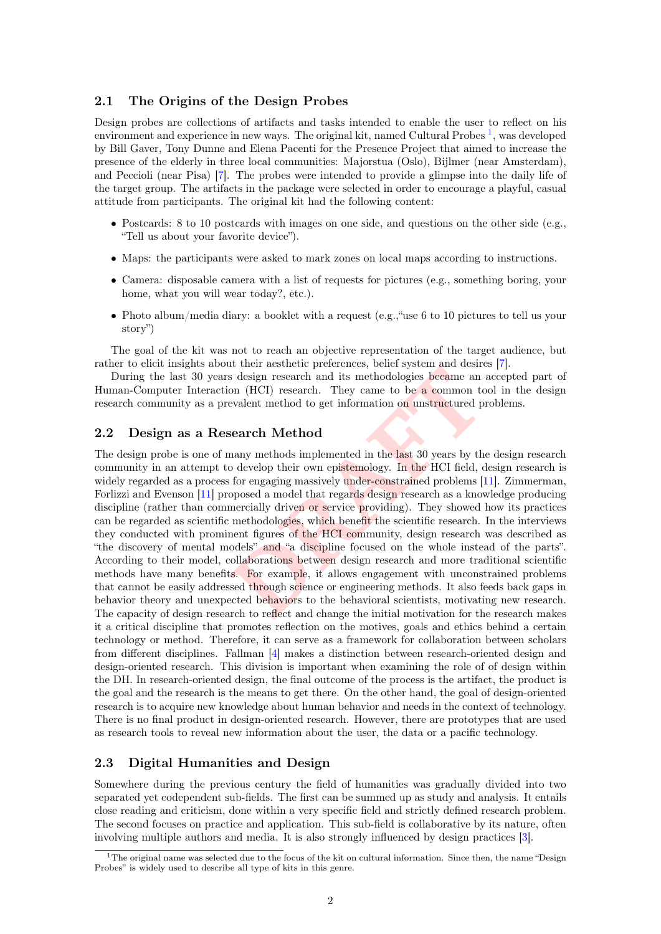### 2.1 The Origins of the Design Probes

Design probes are collections of artifacts and tasks intended to enable the user to reflect on his environment and experience in new ways. The original kit, named Cultural Probes<sup>[1](#page-1-0)</sup>, was developed by Bill Gaver, Tony Dunne and Elena Pacenti for the Presence Project that aimed to increase the presence of the elderly in three local communities: Majorstua (Oslo), Bijlmer (near Amsterdam), and Peccioli (near Pisa) [ [7\]](#page-6-1). The probes were intended to provide a glimpse into the daily life of the target group. The artifacts in the package were selected in order to encourage a playful, casual attitude from participants. The original kit had the following content:

- Postcards: 8 to 10 postcards with images on one side, and questions on the other side (e.g., "Tell us about your favorite device").
- Maps: the participants were asked to mark zones on local maps according to instructions.
- Camera: disposable camera with a list of requests for pictures (e.g., something boring, your home, what you will wear today?, etc.).
- Photo album/media diary: a booklet with a request (e.g., "use 6 to 10 pictures to tell us your story")

The goal of the kit was not to reach an objective representation of the target audience, but rather to elicit insights about their aesthetic preferences, belief system and desires [ [7\]](#page-6-1).

During the last 30 years design research and its methodologies became an accepted part of Human-Computer Interaction (HCI) research. They came to be a common tool in the design research community as a prevalent method to get information on unstructured problems.

### 2.2 Design as a Research Method

is design research and its methodologies became and desired in the desired on (HCI) research. They came to be a common to evalent method to get information on unstructured p<br>**BRAFT** is a common to evalent method to get inf The design probe is one of many methods implemented in the last 30 years by the design research community in an attempt to develop their own epistemology. In the HCI field, design research is widely regarded as a process for engaging massively under-constrained problems [\[11\]](#page-6-3). Zimmerman, Forlizzi and Evenson [\[11\]](#page-6-3) proposed a model that regards design research as a knowledge producing discipline (rather than commercially driven or service providing). They showed how its practices can be regarded as scientific methodologies, which benefit the scientific research. In the interviews they conducted with prominent figures of the HCI community, design research was described as "the discovery of mental models" and "a discipline focused on the whole instead of the parts". According to their model, collaborations between design research and more traditional scientific methods have many benefits. For example, it allows engagement with unconstrained problems that cannot be easily addressed through science or engineering methods. It also feeds back gaps in behavior theory and unexpected behaviors to the behavioral scientists, motivating new research. The capacity of design research to reflect and change the initial motivation for the research makes it a critical discipline that promotes reflection on the motives, goals and ethics behind a certain technology or method. Therefore, it can serve as a framework for collaboration between scholars from different disciplines. Fallman [ [4\]](#page-6-4) makes a distinction between research-oriented design and design-oriented research. This division is important when examining the role of of design within the DH. In research-oriented design, the final outcome of the process is the artifact, the product is the goal and the research is the means to get there. On the other hand, the goal of design-oriented research is to acquire new knowledge about human behavior and needs in the context of technology. There is no final product in design-oriented research. However, there are prototypes that are used as research tools to reveal new information about the user, the data or a pacific technology.

### 2.3 Digital Humanities and Design

Somewhere during the previous century the field of humanities was gradually divided into two separated yet codependent sub-fields. The first can be summed up as study and analysis. It entails close reading and criticism, done within a very specific field and strictly defined research problem. The second focuses on practice and application. This sub-field is collaborative by its nature, often involving multiple authors and media. It is also strongly influenced by design practices [ [3\]](#page-6-5).

<span id="page-1-0"></span> $1$ The original name was selected due to the focus of the kit on cultural information. Since then, the name "Design" Probes" is widely used to describe all type of kits in this genre.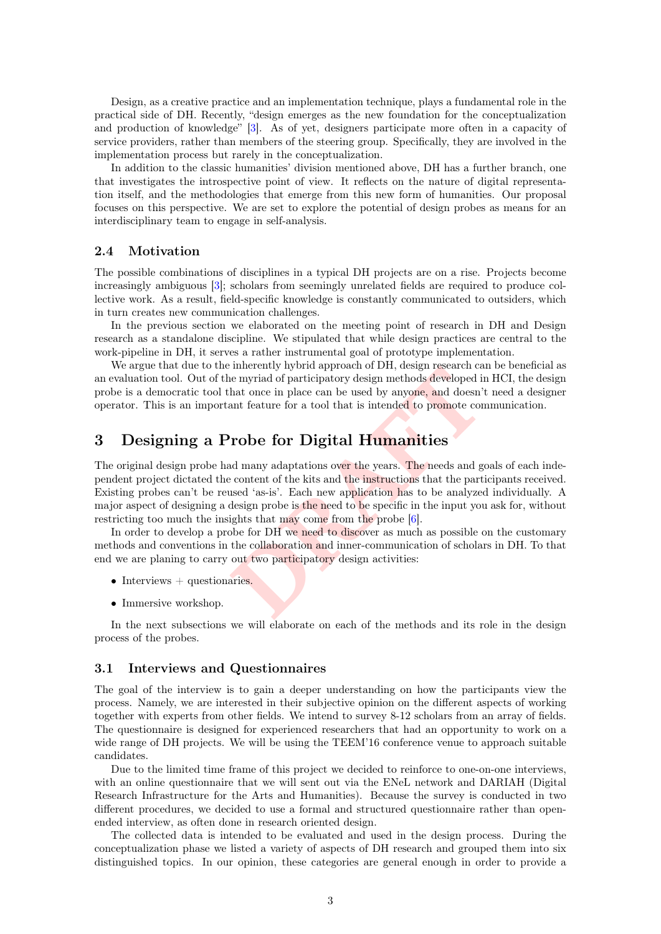Design, as a creative practice and an implementation technique, plays a fundamental role in the practical side of DH. Recently, "design emerges as the new foundation for the conceptualization and production of knowledge" [ [3\]](#page-6-5). As of yet, designers participate more often in a capacity of service providers, rather than members of the steering group. Specifically, they are involved in the implementation process but rarely in the conceptualization.

In addition to the classic humanities' division mentioned above, DH has a further branch, one that investigates the introspective point of view. It reflects on the nature of digital representation itself, and the methodologies that emerge from this new form of humanities. Our proposal focuses on this perspective. We are set to explore the potential of design probes as means for an interdisciplinary team to engage in self-analysis.

### 2.4 Motivation

The possible combinations of disciplines in a typical DH projects are on a rise. Projects become increasingly ambiguous [ [3\]](#page-6-5); scholars from seemingly unrelated fields are required to produce collective work. As a result, field-specific knowledge is constantly communicated to outsiders, which in turn creates new communication challenges.

In the previous section we elaborated on the meeting point of research in DH and Design research as a standalone discipline. We stipulated that while design practices are central to the work-pipeline in DH, it serves a rather instrumental goal of prototype implementation.

We argue that due to the inherently hybrid approach of DH, design research can be beneficial as an evaluation tool. Out of the myriad of participatory design methods developed in HCI, the design probe is a democratic tool that once in place can be used by anyone, and doesn't need a designer operator. This is an important feature for a tool that is intended to promote communication.

# 3 Designing a Probe for Digital Humanities

Interently hybrid approach of Dri, design research cale myriad of participatory design methods developed in that once in place can be used by anyone, and doesn'<br>ant feature for a tool that is intended to promote correct co The original design probe had many adaptations over the years. The needs and goals of each independent project dictated the content of the kits and the instructions that the participants received. Existing probes can't be reused 'as-is'. Each new application has to be analyzed individually. A major aspect of designing a design probe is the need to be specific in the input you ask for, without restricting too much the insights that may come from the probe [6].

In order to develop a probe for DH we need to discover as much as possible on the customary methods and conventions in the collaboration and inner-communication of scholars in DH. To that end we are planing to carry out two participatory design activities:

- Interviews + questionaries.
- Immersive workshop.

In the next subsections we will elaborate on each of the methods and its role in the design process of the probes.

#### 3.1 Interviews and Questionnaires

The goal of the interview is to gain a deeper understanding on how the participants view the process. Namely, we are interested in their subjective opinion on the different aspects of working together with experts from other fields. We intend to survey 8-12 scholars from an array of fields. The questionnaire is designed for experienced researchers that had an opportunity to work on a wide range of DH projects. We will be using the TEEM'16 conference venue to approach suitable candidates.

Due to the limited time frame of this project we decided to reinforce to one-on-one interviews, with an online questionnaire that we will sent out via the ENeL network and DARIAH (Digital Research Infrastructure for the Arts and Humanities). Because the survey is conducted in two different procedures, we decided to use a formal and structured questionnaire rather than openended interview, as often done in research oriented design.

The collected data is intended to be evaluated and used in the design process. During the conceptualization phase we listed a variety of aspects of DH research and grouped them into six distinguished topics. In our opinion, these categories are general enough in order to provide a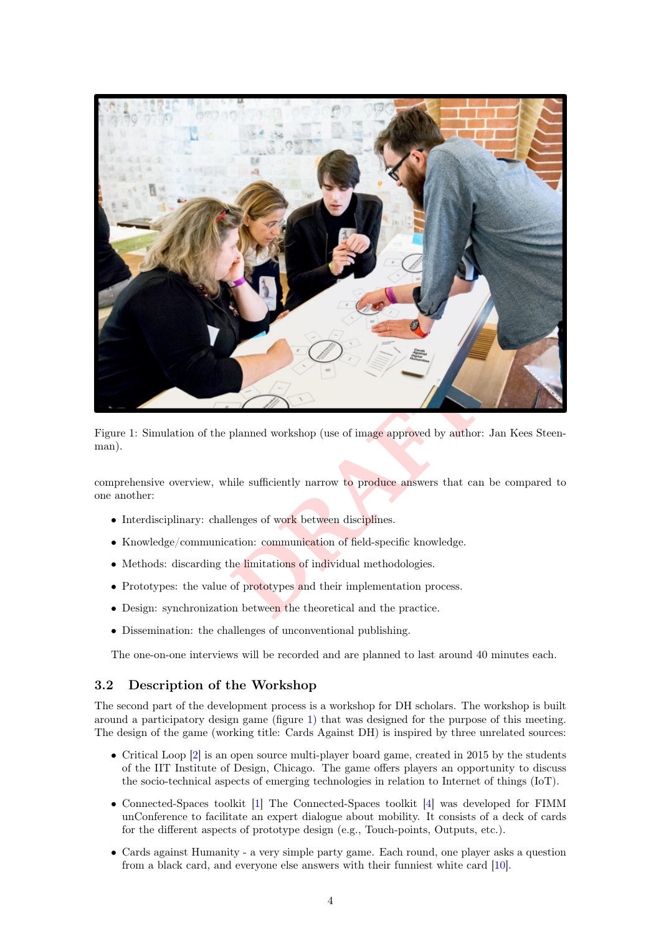

<span id="page-3-0"></span>Figure 1: Simulation of the planned workshop (use of image approved by author: Jan Kees Steenman).

comprehensive overview, while sufficiently narrow to produce answers that can be compared to one another:

- Interdisciplinary: challenges of work between disciplines.
- Knowledge/communication: communication of field-specific knowledge.
- Methods: discarding the limitations of individual methodologies.
- Prototypes: the value of prototypes and their implementation process.
- Design: synchronization between the theoretical and the practice.
- Dissemination: the challenges of unconventional publishing.

The one-on-one interviews will be recorded and are planned to last around 40 minutes each.

### 3.2 Description of the Workshop

The second part of the development process is a workshop for DH scholars. The workshop is built around a participatory design game (figure [1\)](#page-3-0) that was designed for the purpose of this meeting. The design of the game (working title: Cards Against DH) is inspired by three unrelated sources:

- Critical Loop [\[2\]](#page-6-7) is an open source multi-player board game, created in 2015 by the students of the IIT Institute of Design, Chicago. The game offers players an opportunity to discuss the socio-technical aspects of emerging technologies in relation to Internet of things (IoT).
- Connected-Spaces toolkit [[1\]](#page-6-8) The Connected-Spaces toolkit [[4\]](#page-6-4) was developed for FIMM unConference to facilitate an expert dialogue about mobility. It consists of a deck of cards for the different aspects of prototype design (e.g., Touch-points, Outputs, etc.).
- Cards against Humanity a very simple party game. Each round, one player asks a question from a black card, and everyone else answers with their funniest white card [\[10\]](#page-6-9).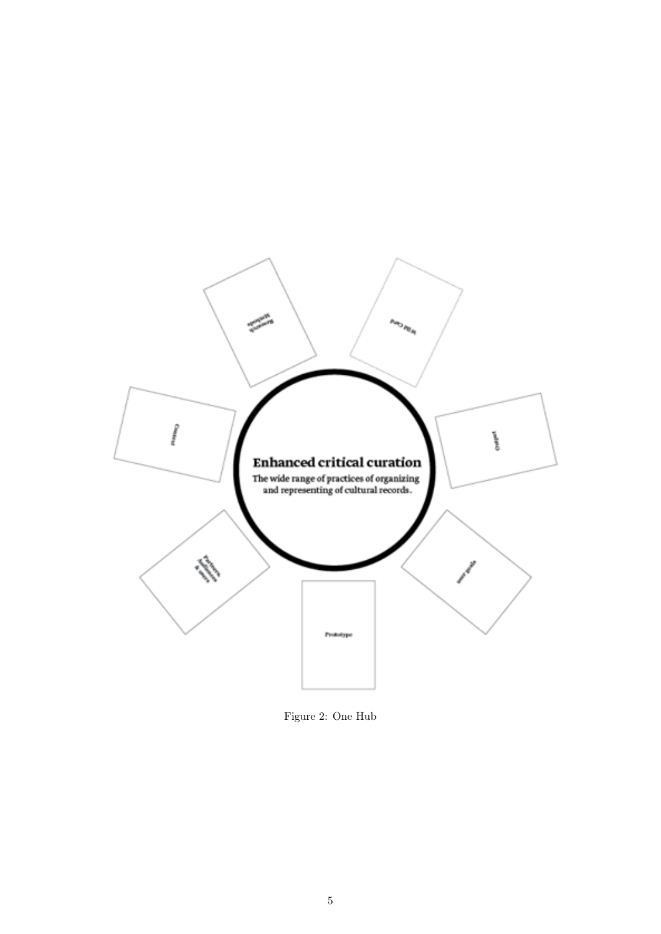

<span id="page-4-0"></span>Figure 2: One Hub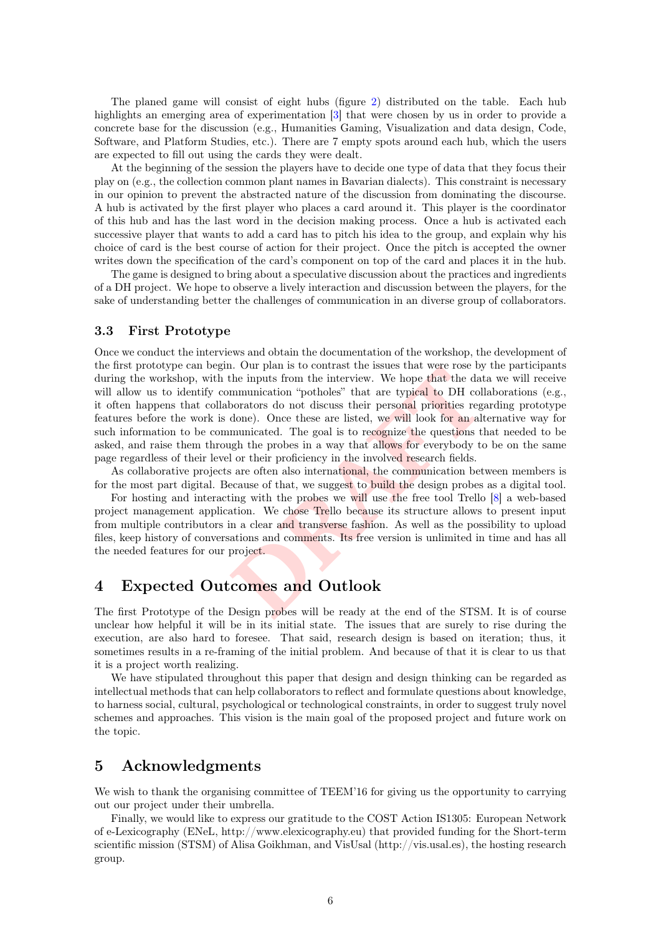The planed game will consist of eight hubs (figure [2\)](#page-4-0) distributed on the table. Each hub highlights an emerging area of experimentation [[3\]](#page-6-5) that were chosen by us in order to provide a concrete base for the discussion (e.g., Humanities Gaming, Visualization and data design, Code, Software, and Platform Studies, etc.). There are 7 empty spots around each hub, which the users are expected to fill out using the cards they were dealt.

At the beginning of the session the players have to decide one type of data that they focus their play on (e.g., the collection common plant names in Bavarian dialects). This constraint is necessary in our opinion to prevent the abstracted nature of the discussion from dominating the discourse. A hub is activated by the first player who places a card around it. This player is the coordinator of this hub and has the last word in the decision making process. Once a hub is activated each successive player that wants to add a card has to pitch his idea to the group, and explain why his choice of card is the best course of action for their project. Once the pitch is accepted the owner writes down the specification of the card's component on top of the card and places it in the hub.

The game is designed to bring about a speculative discussion about the practices and ingredients of a DH project. We hope to observe a lively interaction and discussion between the players, for the sake of understanding better the challenges of communication in an diverse group of collaborators.

#### 3.3 First Prototype

I. Our plan is to contrast the issues that were rose by<br>the inputs from the interview. We hope that the dat<br>mmunication "potholes" that are typical to DH collocators do not discuss their personal priorities reg.<br>done). Onc Once we conduct the interviews and obtain the documentation of the workshop, the development of the first prototype can begin. Our plan is to contrast the issues that were rose by the participants during the workshop, with the inputs from the interview. We hope that the data we will receive will allow us to identify communication "potholes" that are typical to DH collaborations (e.g., it often happens that collaborators do not discuss their personal priorities regarding prototype features before the work is done). Once these are listed, we will look for an alternative way for such information to be communicated. The goal is to recognize the questions that needed to be asked, and raise them through the probes in a way that allows for everybody to be on the same page regardless of their level or their proficiency in the involved research fields.

As collaborative projects are often also international, the communication between members is for the most part digital. Because of that, we suggest to build the design probes as a digital tool.

For hosting and interacting with the probes we will use the free tool Trello [[8\]](#page-6-10) a web-based project management application. We chose Trello because its structure allows to present input from multiple contributors in a clear and transverse fashion. As well as the possibility to upload files, keep history of conversations and comments. Its free version is unlimited in time and has all the needed features for our project.

### 4 Expected Outcomes and Outlook

The first Prototype of the Design probes will be ready at the end of the STSM. It is of course unclear how helpful it will be in its initial state. The issues that are surely to rise during the execution, are also hard to foresee. That said, research design is based on iteration; thus, it sometimes results in a re-framing of the initial problem. And because of that it is clear to us that it is a project worth realizing.

We have stipulated throughout this paper that design and design thinking can be regarded as intellectual methods that can help collaborators to reflect and formulate questions about knowledge, to harness social, cultural, psychological or technological constraints, in order to suggest truly novel schemes and approaches. This vision is the main goal of the proposed project and future work on the topic.

### 5 Acknowledgments

We wish to thank the organising committee of TEEM'16 for giving us the opportunity to carrying out our project under their umbrella.

Finally, we would like to express our gratitude to the COST Action IS1305: European Network of e-Lexicography (ENeL, http://www.elexicography.eu) that provided funding for the Short-term scientific mission (STSM) of Alisa Goikhman, and VisUsal (http://vis.usal.es), the hosting research group.